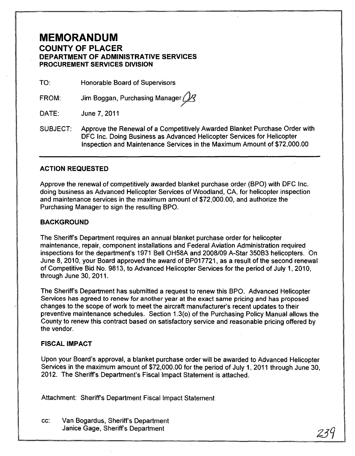## **MEMORANDUM**

#### **COUNTY OF PLACER DEPARTMENT OF ADMINISTRATIVE SERVICES PROCUREMENT SERVICES DIVISION**

TO: Honorable Board of Supervisors

FROM: Jim Boggan, Purchasing Manager (

DATE: June 7,2011

SUBJECT: Approve the Renewal of a Competitively Awarded Blanket Purchase Order with DFC Inc. Doing Business as Advanced Helicopter Services for Helicopter Inspection and Maintenance Services in the Maximum Amount of \$72,000.00

#### **ACTION REQUESTED**

Approve the renewal of competitively awarded blanket purchase order (BPO) with DFC Inc. doing business as Advanced Helicopter Services of Woodland, CA, for helicopter inspection and maintenance services in the maximum amount of \$72,000.00, and authorize the Purchasing Manager to sign the resulting BPO.

#### **BACKGROUND**

The Sheriff's Department requires an annual blanket purchase order for helicopter maintenance, repair, component installations and Federal Aviation Administration required inspections for the department's 1971 Bell OH58A and 2008/09 A-Star 350B3 helicopters. On June 8,2010, your Board approved the award of BP017721, as a result of the second renewal of Competitive Bid No. 9813, to Advanced Helicopter Services for the period of July 1,2010, through June 30, 2011.

The Sheriffs Department has submitted a request to renew this BPO. Advanced Helicopter Services has agreed to renew for another year at the exact same pricing and has proposed changes to the scope of work to meet the aircraft manufacturer's recent updates to their preventive maintenance schedules. Section 1.3(0) of the Purchasing Policy Manual allows the County to renew this contract based on satisfactory service and reasonable pricing offered by the vendor.

#### **FISCAL IMPACT**

Upon your Board's approval, a blanket purchase order will be awarded to Advanced Helicopter Services in the maximum amount of \$72,000.00 for the period of July 1,2011 through June 30, 2012. The Sheriff's Department's Fiscal Impact Statement is attached.

Attachment: Sheriff's Department Fiscal Impact Statement

cc: Van Bogardus, Sheriffs Department Janice Gage, Sheriff's Department